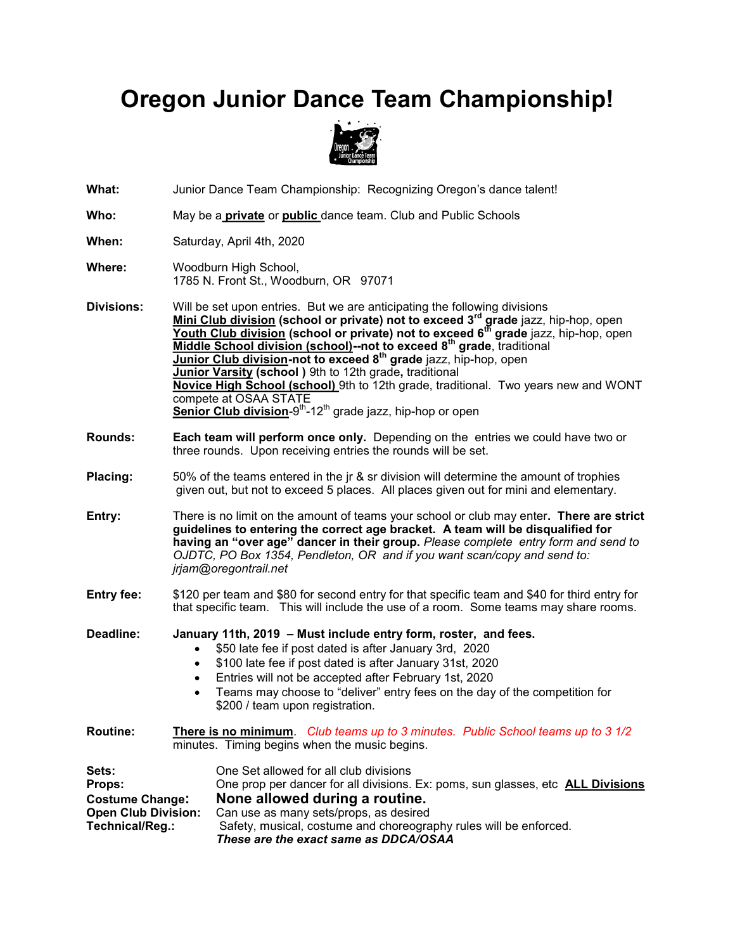## **Oregon Junior Dance Team Championship!**



**What:** Junior Dance Team Championship: Recognizing Oregon's dance talent!

**Who:** May be a **private** or **public** dance team. Club and Public Schools

**When:** Saturday, April 4th, 2020

- **Where:** Woodburn High School, 1785 N. Front St., Woodburn, OR 97071
- **Divisions:** Will be set upon entries. But we are anticipating the following divisions **Mini Club division (school or private) not to exceed 3rd grade** jazz, hip-hop, open **Youth Club division (school or private) not to exceed 6th grade** jazz, hip-hop, open **Middle School division (school)--not to exceed 8th grade**, traditional **Junior Club division-not to exceed 8th grade** jazz, hip-hop, open **Junior Varsity (school )** 9th to 12th grade**,** traditional **Novice High School (school)** 9th to 12th grade, traditional. Two years new and WONT compete at OSAA STATE **<u>Senior Club division</u>-9<sup>th</sup>-12<sup>th</sup> grade jazz, hip-hop or open**
- **Rounds: Each team will perform once only.** Depending on the entries we could have two or three rounds. Upon receiving entries the rounds will be set.
- **Placing:** 50% of the teams entered in the jr & sr division will determine the amount of trophies given out, but not to exceed 5 places. All places given out for mini and elementary.

**Entry:** There is no limit on the amount of teams your school or club may enter**. There are strict guidelines to entering the correct age bracket. A team will be disqualified for having an "over age" dancer in their group.** *Please complete entry form and send to OJDTC, PO Box 1354, Pendleton, OR and if you want scan/copy and send to: jrjam@oregontrail.net* 

**Entry fee:** \$120 per team and \$80 for second entry for that specific team and \$40 for third entry for that specific team. This will include the use of a room. Some teams may share rooms.

**Deadline: January 11th, 2019 – Must include entry form, roster, and fees.**  • \$50 late fee if post dated is after January 3rd, 2020 • \$100 late fee if post dated is after January 31st, 2020 • Entries will not be accepted after February 1st, 2020 • Teams may choose to "deliver" entry fees on the day of the competition for \$200 / team upon registration. **Routine: There is no minimum**. *Club teams up to 3 minutes. Public School teams up to 3 1/2*  minutes. Timing begins when the music begins. Sets: **Sets:** One Set allowed for all club divisions **Props:** One prop per dancer for all divisions. Ex: poms, sun glasses, etc **ALL Divisions Costume Change: None allowed during a routine. Open Club Division:** Can use as many sets/props, as desired **Technical/Reg.:** Safety, musical, costume and choreogra

Safety, musical, costume and choreography rules will be enforced. *These are the exact same as DDCA/OSAA*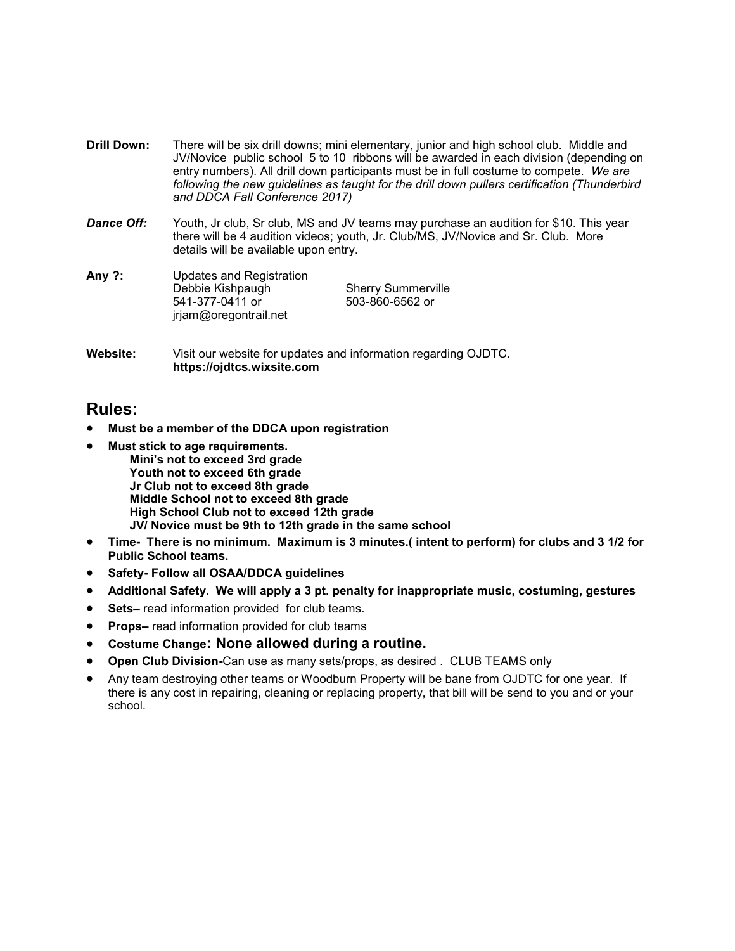- **Drill Down:** There will be six drill downs; mini elementary, junior and high school club. Middle and JV/Novice public school 5 to 10 ribbons will be awarded in each division (depending on entry numbers). All drill down participants must be in full costume to compete. *We are*  following the new guidelines as taught for the drill down pullers certification (Thunderbird *and DDCA Fall Conference 2017)*
- **Dance Off:** Youth, Jr club, Sr club, MS and JV teams may purchase an audition for \$10. This year there will be 4 audition videos; youth, Jr. Club/MS, JV/Novice and Sr. Club. More details will be available upon entry.

| Any $?:$ | Updates and Registration |                           |
|----------|--------------------------|---------------------------|
|          | Debbie Kishpaugh         | <b>Sherry Summerville</b> |
|          | 541-377-0411 or          | 503-860-6562 or           |
|          | jrjam@oregontrail.net    |                           |
|          |                          |                           |

**Website:** Visit our website for updates and information regarding OJDTC. **https://ojdtcs.wixsite.com**

## **Rules:**

- **Must be a member of the DDCA upon registration**
- **Must stick to age requirements. Mini's not to exceed 3rd grade Youth not to exceed 6th grade Jr Club not to exceed 8th grade Middle School not to exceed 8th grade High School Club not to exceed 12th grade JV/ Novice must be 9th to 12th grade in the same school**
- **Time- There is no minimum. Maximum is 3 minutes.( intent to perform) for clubs and 3 1/2 for Public School teams.**
- **Safety- Follow all OSAA/DDCA guidelines**
- **Additional Safety. We will apply a 3 pt. penalty for inappropriate music, costuming, gestures**
- **Sets–** read information provided for club teams.
- **Props–** read information provided for club teams
- **Costume Change: None allowed during a routine.**
- **Open Club Division-**Can use as many sets/props, as desired . CLUB TEAMS only
- Any team destroying other teams or Woodburn Property will be bane from OJDTC for one year. If there is any cost in repairing, cleaning or replacing property, that bill will be send to you and or your school.